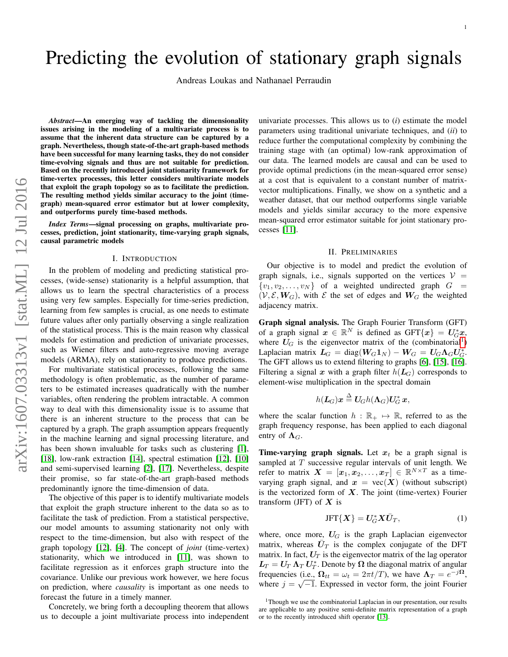# Predicting the evolution of stationary graph signals

Andreas Loukas and Nathanael Perraudin

*Abstract*—An emerging way of tackling the dimensionality issues arising in the modeling of a multivariate process is to assume that the inherent data structure can be captured by a graph. Nevertheless, though state-of-the-art graph-based methods have been successful for many learning tasks, they do not consider time-evolving signals and thus are not suitable for prediction. Based on the recently introduced joint stationarity framework for time-vertex processes, this letter considers multivariate models that exploit the graph topology so as to facilitate the prediction. The resulting method yields similar accuracy to the joint (timegraph) mean-squared error estimator but at lower complexity, and outperforms purely time-based methods.

*Index Terms*—signal processing on graphs, multivariate processes, prediction, joint stationarity, time-varying graph signals, causal parametric models

# I. INTRODUCTION

In the problem of modeling and predicting statistical processes, (wide-sense) stationarity is a helpful assumption, that allows us to learn the spectral characteristics of a process using very few samples. Especially for time-series prediction, learning from few samples is crucial, as one needs to estimate future values after only partially observing a single realization of the statistical process. This is the main reason why classical models for estimation and prediction of univariate processes, such as Wiener filters and auto-regressive moving average models (ARMA), rely on stationarity to produce predictions.

For multivariate statistical processes, following the same methodology is often problematic, as the number of parameters to be estimated increases quadratically with the number variables, often rendering the problem intractable. A common way to deal with this dimensionality issue is to assume that there is an inherent structure to the process that can be captured by a graph. The graph assumption appears frequently in the machine learning and signal processing literature, and has been shown invaluable for tasks such as clustering [\[1\]](#page-4-0), [\[18\]](#page-5-0), low-rank extraction [\[14\]](#page-5-1), spectral estimation [\[12\]](#page-5-2), [\[10\]](#page-5-3) and semi-supervised learning [\[2\]](#page-4-1), [\[17\]](#page-5-4). Nevertheless, despite their promise, so far state-of-the-art graph-based methods predominantly ignore the time-dimension of data.

The objective of this paper is to identify multivariate models that exploit the graph structure inherent to the data so as to facilitate the task of prediction. From a statistical perspective, our model amounts to assuming stationarity not only with respect to the time-dimension, but also with respect of the graph topology [\[12\]](#page-5-2), [\[4\]](#page-4-2). The concept of *joint* (time-vertex) stationarity, which we introduced in [\[11\]](#page-5-5), was shown to facilitate regression as it enforces graph structure into the covariance. Unlike our previous work however, we here focus on prediction, where *causality* is important as one needs to forecast the future in a timely manner.

Concretely, we bring forth a decoupling theorem that allows us to decouple a joint multivariate process into independent univariate processes. This allows us to (*i*) estimate the model parameters using traditional univariate techniques, and (*ii*) to reduce further the computational complexity by combining the training stage with (an optimal) low-rank approximation of our data. The learned models are causal and can be used to provide optimal predictions (in the mean-squared error sense) at a cost that is equivalent to a constant number of matrixvector multiplications. Finally, we show on a synthetic and a weather dataset, that our method outperforms single variable models and yields similar accuracy to the more expensive mean-squared error estimator suitable for joint stationary processes [\[11\]](#page-5-5).

## II. PRELIMINARIES

Our objective is to model and predict the evolution of graph signals, i.e., signals supported on the vertices  $V =$  $\{v_1, v_2, \ldots, v_N\}$  of a weighted undirected graph  $G =$  $(V, \mathcal{E}, W_G)$ , with  $\mathcal E$  the set of edges and  $W_G$  the weighted adjacency matrix.

Graph signal analysis. The Graph Fourier Transform (GFT) of a graph signal  $x \in \mathbb{R}^N$  is defined as  $GFT\{x\} = U_G^*x$ , where  $U_G$  is the eigenvector matrix of the (combinatorial<sup>[1](#page-0-0)</sup>) Laplacian matrix  $L_G = \text{diag}(W_G 1_N) - W_G = U_G \Lambda_G U_G^*$ . The GFT allows us to extend filtering to graphs [\[6\]](#page-5-6), [\[15\]](#page-5-7), [\[16\]](#page-5-8). Filtering a signal x with a graph filter  $h(L_G)$  corresponds to element-wise multiplication in the spectral domain

$$
h(\bm{L}_G)\bm{x} \stackrel{\Delta}{=} \bm{U}_G h(\bm{\Lambda}_G) \bm{U}_G^* \, \bm{x},
$$

where the scalar function  $h : \mathbb{R}_+ \mapsto \mathbb{R}$ , referred to as the graph frequency response, has been applied to each diagonal entry of  $\Lambda_G$ .

**Time-varying graph signals.** Let  $x_t$  be a graph signal is sampled at T successive regular intervals of unit length. We refer to matrix  $\boldsymbol{X} = [\boldsymbol{x}_1, \boldsymbol{x}_2, \dots, \boldsymbol{x}_T] \in \mathbb{R}^{N \times T}$  as a timevarying graph signal, and  $x = \text{vec}(X)$  (without subscript) is the vectorized form of  $X$ . The joint (time-vertex) Fourier transform (JFT) of  $X$  is

$$
\text{JFT}\{\boldsymbol{X}\} = \boldsymbol{U}_G^* \boldsymbol{X} \bar{\boldsymbol{U}}_T,\tag{1}
$$

where, once more,  $U_G$  is the graph Laplacian eigenvector matrix, whereas  $\overline{U}_T$  is the complex conjugate of the DFT matrix. In fact,  $U_T$  is the eigenvector matrix of the lag operator  $\mathbf{L}_T = \mathbf{U}_T \mathbf{\Lambda}_T \mathbf{U}_T^*$ . Denote by  $\mathbf{\Omega}$  the diagonal matrix of angular frequencies (i.e.,  $\Omega_{tt} = \omega_t = 2\pi t/T$ ), we have  $\Lambda_T = e^{-j\Omega}$ , where  $j = \sqrt{-1}$ . Expressed in vector form, the joint Fourier

<span id="page-0-0"></span><sup>&</sup>lt;sup>1</sup>Though we use the combinatorial Laplacian in our presentation, our results are applicable to any positive semi-definite matrix representation of a graph or to the recently introduced shift operator [\[13\]](#page-5-9).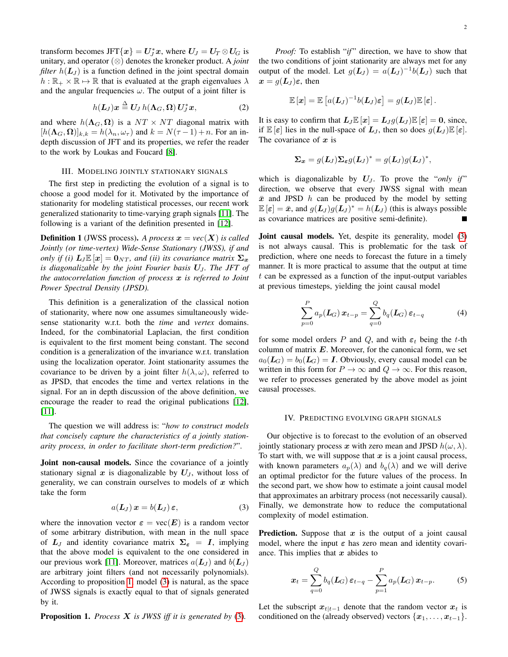transform becomes JFT $\{\boldsymbol{x}\} = \boldsymbol{U}_J^*\boldsymbol{x}$ , where  $\boldsymbol{U}_J = \boldsymbol{U}_T \otimes \boldsymbol{U}_G$  is unitary, and operator (⊗) denotes the kroneker product. A *joint filter*  $h(L_J)$  is a function defined in the joint spectral domain  $h : \mathbb{R}_+ \times \mathbb{R} \mapsto \mathbb{R}$  that is evaluated at the graph eigenvalues  $\lambda$ and the angular frequencies  $\omega$ . The output of a joint filter is

$$
h(\mathbf{L}_J)\mathbf{x} \stackrel{\Delta}{=} \mathbf{U}_J h(\mathbf{\Lambda}_G,\mathbf{\Omega}) \mathbf{U}_J^* \mathbf{x},\tag{2}
$$

and where  $h(\Lambda_G, \Omega)$  is a  $NT \times NT$  diagonal matrix with  $[h(\Lambda_G, \Omega)]_{k,k} = h(\lambda_n, \omega_\tau)$  and  $k = N(\tau - 1) + n$ . For an indepth discussion of JFT and its properties, we refer the reader to the work by Loukas and Foucard [\[8\]](#page-5-10).

# III. MODELING JOINTLY STATIONARY SIGNALS

The first step in predicting the evolution of a signal is to choose a good model for it. Motivated by the importance of stationarity for modeling statistical processes, our recent work generalized stationarity to time-varying graph signals [\[11\]](#page-5-5). The following is a variant of the definition presented in [\[12\]](#page-5-2).

**Definition 1** (JWSS process). A process  $x = vec(X)$  is called *Jointly (or time-vertex) Wide-Sense Stationary (JWSS), if and only if (i)*  $L_J \mathbb{E} [x] = 0_{NT}$ , and (ii) its covariance matrix  $\Sigma_x$ *is diagonalizable by the joint Fourier basis U<sub>J</sub>. The JFT of the autocorrelation function of process* x *is referred to Joint Power Spectral Density (JPSD).*

This definition is a generalization of the classical notion of stationarity, where now one assumes simultaneously widesense stationarity w.r.t. both the *time* and *vertex* domains. Indeed, for the combinatorial Laplacian, the first condition is equivalent to the first moment being constant. The second condition is a generalization of the invariance w.r.t. translation using the localization operator. Joint stationarity assumes the covariance to be driven by a joint filter  $h(\lambda, \omega)$ , referred to as JPSD, that encodes the time and vertex relations in the signal. For an in depth discussion of the above definition, we encourage the reader to read the original publications [\[12\]](#page-5-2), [\[11\]](#page-5-5).

The question we will address is: "*how to construct models that concisely capture the characteristics of a jointly stationarity process, in order to facilitate short-term prediction?*".

Joint non-causal models. Since the covariance of a jointly stationary signal x is diagonalizable by  $U_J$ , without loss of generality, we can constrain ourselves to models of  $x$  which take the form

$$
a(\mathbf{L}_J)\,\boldsymbol{x} = b(\mathbf{L}_J)\,\boldsymbol{\varepsilon},\tag{3}
$$

where the innovation vector  $\varepsilon = \text{vec}(E)$  is a random vector of some arbitrary distribution, with mean in the null space of  $L_J$  and identity covariance matrix  $\Sigma_{\varepsilon} = I$ , implying that the above model is equivalent to the one considered in our previous work [\[11\]](#page-5-5). Moreover, matrices  $a(L_J)$  and  $b(L_J)$ are arbitrary joint filters (and not necessarily polynomials). According to proposition [1,](#page-1-0) model [\(3\)](#page-1-1) is natural, as the space of JWSS signals is exactly equal to that of signals generated by it.

<span id="page-1-0"></span>Proposition 1. *Process* X *is JWSS iff it is generated by* [\(3\)](#page-1-1)*.*

2

*Proof:* To establish "*if*" direction, we have to show that the two conditions of joint stationarity are always met for any output of the model. Let  $g(L_J) = a(L_J)^{-1}b(L_J)$  such that  $x = g(L_J)\varepsilon$ , then

$$
\mathbb{E} [\boldsymbol{x}] = \mathbb{E} \left[ a(\boldsymbol{L}_J)^{-1} b(\boldsymbol{L}_J) \boldsymbol{\varepsilon} \right] = g(\boldsymbol{L}_J) \mathbb{E} \left[ \boldsymbol{\varepsilon} \right].
$$

It is easy to confirm that  $L_I \mathbb{E}[x] = L_I q(L_I) \mathbb{E}[\varepsilon] = 0$ , since, if  $\mathbb{E}[\varepsilon]$  lies in the null-space of  $L_J$ , then so does  $g(L_J) \mathbb{E}[\varepsilon]$ . The covariance of  $x$  is

$$
\Sigma_{\boldsymbol{x}} = g(\boldsymbol{L}_J) \Sigma_{\boldsymbol{\varepsilon}} g(\boldsymbol{L}_J)^* = g(\boldsymbol{L}_J) g(\boldsymbol{L}_J)^*,
$$

which is diagonalizable by  $U_J$ . To prove the "*only if*" direction, we observe that every JWSS signal with mean  $\bar{x}$  and JPSD h can be produced by the model by setting  $\mathbb{E} [\varepsilon] = \bar{x}$ , and  $g(\mathbf{L}_J)g(\mathbf{L}_J)^* = h(\mathbf{L}_J)$  (this is always possible as covariance matrices are positive semi-definite).

Joint causal models. Yet, despite its generality, model [\(3\)](#page-1-1) is not always causal. This is problematic for the task of prediction, where one needs to forecast the future in a timely manner. It is more practical to assume that the output at time t can be expressed as a function of the input-output variables at previous timesteps, yielding the joint causal model

<span id="page-1-2"></span>
$$
\sum_{p=0}^{P} a_p(\mathbf{L}_G) \mathbf{x}_{t-p} = \sum_{q=0}^{Q} b_q(\mathbf{L}_G) \mathbf{\varepsilon}_{t-q}
$$
 (4)

for some model orders P and Q, and with  $\varepsilon_t$  being the t-th column of matrix  $E$ . Moreover, for the canonical form, we set  $a_0(L_G) = b_0(L_G) = I$ . Obviously, every causal model can be written in this form for  $P \to \infty$  and  $Q \to \infty$ . For this reason, we refer to processes generated by the above model as joint causal processes.

#### IV. PREDICTING EVOLVING GRAPH SIGNALS

Our objective is to forecast to the evolution of an observed jointly stationary process x with zero mean and JPSD  $h(\omega, \lambda)$ . To start with, we will suppose that  $x$  is a joint causal process, with known parameters  $a_p(\lambda)$  and  $b_q(\lambda)$  and we will derive an optimal predictor for the future values of the process. In the second part, we show how to estimate a joint causal model that approximates an arbitrary process (not necessarily causal). Finally, we demonstrate how to reduce the computational complexity of model estimation.

<span id="page-1-1"></span>**Prediction.** Suppose that  $x$  is the output of a joint causal model, where the input  $\varepsilon$  has zero mean and identity covariance. This implies that  $x$  abides to

$$
\boldsymbol{x}_t = \sum_{q=0}^Q b_q(\boldsymbol{L}_G) \, \boldsymbol{\varepsilon}_{t-q} - \sum_{p=1}^P a_p(\boldsymbol{L}_G) \, \boldsymbol{x}_{t-p}.\tag{5}
$$

Let the subscript  $x_{t|t-1}$  denote that the random vector  $x_t$  is conditioned on the (already observed) vectors  $\{x_1, \ldots, x_{t-1}\}.$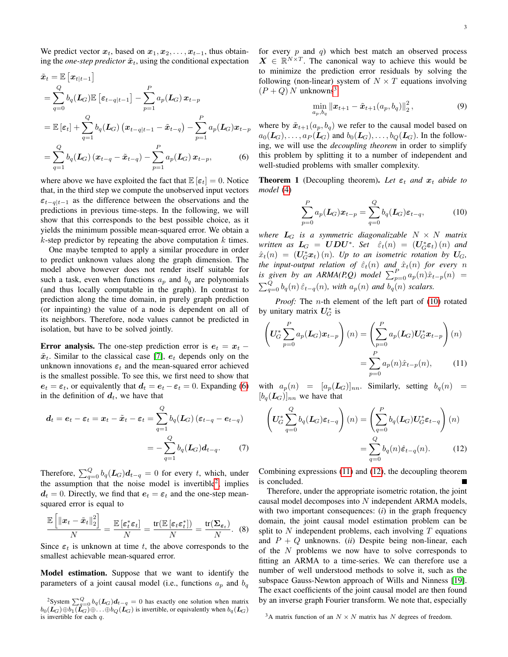We predict vector  $x_t$ , based on  $x_1, x_2, \ldots, x_{t-1}$ , thus obtaining the *one-step predictor*  $\tilde{x}_t$ , using the conditional expectation

$$
\tilde{x}_t = \mathbb{E}\left[x_{t|t-1}\right]
$$
\n
$$
= \sum_{q=0}^{Q} b_q(L_G) \mathbb{E}\left[\varepsilon_{t-q|t-1}\right] - \sum_{p=1}^{P} a_p(L_G) x_{t-p}
$$
\n
$$
= \mathbb{E}\left[\varepsilon_t\right] + \sum_{q=1}^{Q} b_q(L_G) \left(x_{t-q|t-1} - \tilde{x}_{t-q}\right) - \sum_{p=1}^{P} a_p(L_G) x_{t-p}
$$
\n
$$
= \sum_{q=1}^{Q} b_q(L_G) \left(x_{t-q} - \tilde{x}_{t-q}\right) - \sum_{p=1}^{P} a_p(L_G) x_{t-p}, \tag{6}
$$

where above we have exploited the fact that  $\mathbb{E}[\varepsilon_t] = 0$ . Notice that, in the third step we compute the unobserved input vectors  $\varepsilon_{t-q|t-1}$  as the difference between the observations and the predictions in previous time-steps. In the following, we will show that this corresponds to the best possible choice, as it yields the minimum possible mean-squared error. We obtain a  $k$ -step predictor by repeating the above computation  $k$  times.

One maybe tempted to apply a similar procedure in order to predict unknown values along the graph dimension. The model above however does not render itself suitable for such a task, even when functions  $a_p$  and  $b_q$  are polynomials (and thus locally computable in the graph). In contrast to prediction along the time domain, in purely graph prediction (or inpainting) the value of a node is dependent on all of its neighbors. Therefore, node values cannot be predicted in isolation, but have to be solved jointly.

Error analysis. The one-step prediction error is  $e_t = x_t$  –  $\tilde{x}_t$ . Similar to the classical case [\[7\]](#page-5-11),  $e_t$  depends only on the unknown innovations  $\varepsilon_t$  and the mean-squared error achieved is the smallest possible. To see this, we first need to show that  $e_t = \varepsilon_t$ , or equivalently that  $d_t = e_t - \varepsilon_t = 0$ . Expanding [\(6\)](#page-2-0) in the definition of  $d_t$ , we have that

$$
d_t = e_t - \varepsilon_t = x_t - \tilde{x}_t - \varepsilon_t = \sum_{q=1}^Q b_q(L_G)(\varepsilon_{t-q} - e_{t-q})
$$
  
= 
$$
-\sum_{q=1}^Q b_q(L_G)d_{t-q}.
$$
 (7)

Therefore,  $\sum_{q=0}^{Q} b_q(L_G) d_{t-q} = 0$  for every t, which, under the assumption that the noise model is invertible<sup>[2](#page-2-1)</sup>, implies  $d_t = 0$ . Directly, we find that  $e_t = \varepsilon_t$  and the one-step meansquared error is equal to

h

$$
\frac{\mathbb{E}\left[\left\|\boldsymbol{x}_{t}-\tilde{\boldsymbol{x}}_{t}\right\|_{2}^{2}\right]}{N}=\frac{\mathbb{E}\left[\boldsymbol{\varepsilon}_{t}^{*}\boldsymbol{\varepsilon}_{t}\right]}{N}=\frac{\mathrm{tr}(\mathbb{E}\left[\boldsymbol{\varepsilon}_{t}\boldsymbol{\varepsilon}_{t}^{*}\right])}{N}=\frac{\mathrm{tr}(\boldsymbol{\Sigma}_{\boldsymbol{\varepsilon}_{t}})}{N}.
$$
 (8)

Since  $\varepsilon_t$  is unknown at time t, the above corresponds to the smallest achievable mean-squared error.

Model estimation. Suppose that we want to identify the parameters of a joint causal model (i.e., functions  $a_p$  and  $b_q$ 

for every  $p$  and  $q$ ) which best match an observed process  $X \in \mathbb{R}^{N \times T}$ . The canonical way to achieve this would be to minimize the prediction error residuals by solving the following (non-linear) system of  $N \times T$  equations involving  $(P+Q)$  N unknowns<sup>[3](#page-2-2)</sup>

$$
\min_{a_p,b_q} \|\boldsymbol{x}_{t+1} - \tilde{\boldsymbol{x}}_{t+1}(a_p,b_q)\|_2^2, \tag{9}
$$

<span id="page-2-0"></span>where by  $\tilde{x}_{t+1}(a_p, b_q)$  we refer to the causal model based on  $a_0(\mathcal{L}_G), \ldots, a_P(\mathcal{L}_G)$  and  $b_0(\mathcal{L}_G), \ldots, b_Q(\mathcal{L}_G)$ . In the following, we will use the *decoupling theorem* in order to simplify this problem by splitting it to a number of independent and well-studied problems with smaller complexity.

**Theorem 1** (Decoupling theorem). Let  $\varepsilon_t$  and  $x_t$  abide to *model* [\(4\)](#page-1-2)

<span id="page-2-3"></span>
$$
\sum_{p=0}^{P} a_p(L_G) x_{t-p} = \sum_{q=0}^{Q} b_q(L_G) \varepsilon_{t-q}, \tag{10}
$$

*where*  $L_G$  *is a symmetric diagonalizable*  $N \times N$  *matrix written as*  $\boldsymbol{L}_G = \boldsymbol{U} \boldsymbol{D} \boldsymbol{U}^*$ *. Set*  $\hat{\varepsilon}_t(n) = (\boldsymbol{U}_G^* \boldsymbol{\varepsilon}_t)(n)$  *and*  $\hat{x}_t(n) = (U_G^* x_t)(n)$ . Up to an isometric rotation by U<sub>G</sub>, *the input-output relation of*  $\hat{\varepsilon}_t(n)$  *and*  $\hat{x}_t(n)$  *for every n is given by an ARMA(P,Q) model*  $\sum_{p=0}^{P} a_p(n) \hat{x}_{t-p}(n)$  =  $\sum_{q=0}^{Q} b_q(n) \hat{\varepsilon}_{t-q}(n)$ , with  $a_p(n)$  and  $b_q(n)$  scalars.

*Proof:* The *n*-th element of the left part of [\(10\)](#page-2-3) rotated by unitary matrix  $U_G^*$  is

<span id="page-2-4"></span>
$$
\left(U_G^*\sum_{p=0}^P a_p(\boldsymbol{L}_G)\boldsymbol{x}_{t-p}\right)(n) = \left(\sum_{p=0}^P a_p(\boldsymbol{L}_G)U_G^*\boldsymbol{x}_{t-p}\right)(n)
$$

$$
= \sum_{p=0}^P a_p(n)\hat{x}_{t-p}(n),\qquad(11)
$$

with  $a_p(n) = [a_p(L_G)]_{nn}$ . Similarly, setting  $b_q(n)$  =  $[b_q(L_G)]_{nn}$  we have that

<span id="page-2-5"></span>
$$
\left(U_G^* \sum_{q=0}^Q b_q(L_G) \varepsilon_{t-q}\right)(n) = \left(\sum_{q=0}^P b_q(L_G) U_G^* \varepsilon_{t-q}\right)(n)
$$

$$
= \sum_{q=0}^Q b_q(n) \hat{\varepsilon}_{t-q}(n). \tag{12}
$$

Combining expressions [\(11\)](#page-2-4) and [\(12\)](#page-2-5), the decoupling theorem is concluded.

Therefore, under the appropriate isometric rotation, the joint causal model decomposes into  $N$  independent ARMA models, with two important consequences: (*i*) in the graph frequency domain, the joint causal model estimation problem can be split to  $N$  independent problems, each involving  $T$  equations and  $P + Q$  unknowns. *(ii)* Despite being non-linear, each of the  $N$  problems we now have to solve corresponds to fitting an ARMA to a time-series. We can therefore use a number of well understood methods to solve it, such as the subspace Gauss-Newton approach of Wills and Ninness [\[19\]](#page-5-12). The exact coefficients of the joint causal model are then found by an inverse graph Fourier transform. We note that, especially

<span id="page-2-1"></span><sup>&</sup>lt;sup>2</sup>System  $\sum_{q=0}^{Q} b_q(L_G) d_{t-q} = 0$  has exactly one solution when matrix  $b_0(\mathcal{L}_G) \oplus b_1(\mathcal{L}_G) \oplus \ldots \oplus b_Q(\mathcal{L}_G)$  is invertible, or equivalently when  $b_q(\mathcal{L}_G)$ is invertible for each  $q$ .

<span id="page-2-2"></span><sup>&</sup>lt;sup>3</sup>A matrix function of an  $N \times N$  matrix has N degrees of freedom.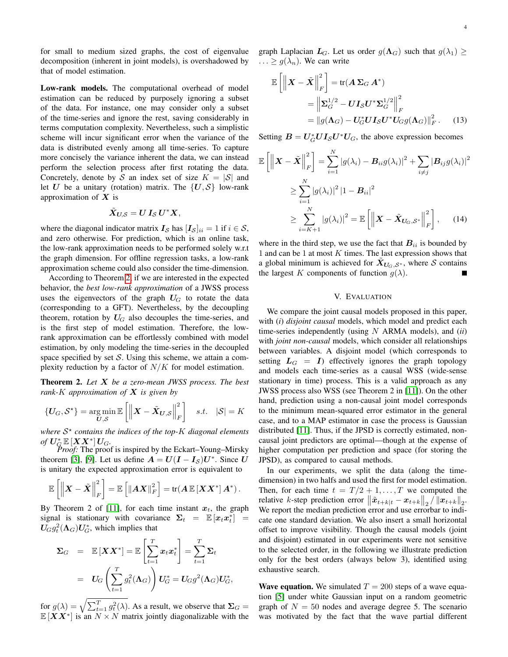for small to medium sized graphs, the cost of eigenvalue decomposition (inherent in joint models), is overshadowed by that of model estimation.

Low-rank models. The computational overhead of model estimation can be reduced by purposely ignoring a subset of the data. For instance, one may consider only a subset of the time-series and ignore the rest, saving considerably in terms computation complexity. Nevertheless, such a simplistic scheme will incur significant error when the variance of the data is distributed evenly among all time-series. To capture more concisely the variance inherent the data, we can instead perform the selection process after first rotating the data. Concretely, denote by S an index set of size  $K = |\mathcal{S}|$  and let U be a unitary (rotation) matrix. The  $\{U, S\}$  low-rank approximation of  $X$  is

$$
\tilde{X}_{U,\mathcal{S}}=U\,I_{\mathcal{S}}\,U^*X,
$$

where the diagonal indicator matrix  $I_{\mathcal{S}}$  has  $[I_{\mathcal{S}}]_{ii} = 1$  if  $i \in \mathcal{S}$ , and zero otherwise. For prediction, which is an online task, the low-rank approximation needs to be performed solely w.r.t the graph dimension. For offline regression tasks, a low-rank approximation scheme could also consider the time-dimension.

According to Theorem [2,](#page-3-0) if we are interested in the expected behavior, the *best low-rank approximation* of a JWSS process uses the eigenvectors of the graph  $U_G$  to rotate the data (corresponding to a GFT). Nevertheless, by the decoupling theorem, rotation by  $U_G$  also decouples the time-series, and is the first step of model estimation. Therefore, the lowrank approximation can be effortlessly combined with model estimation, by only modeling the time-series in the decoupled space specified by set  $S$ . Using this scheme, we attain a complexity reduction by a factor of  $N/K$  for model estimation.

<span id="page-3-0"></span>Theorem 2. *Let* X *be a zero-mean JWSS process. The best rank-*K *approximation of* X *is given by*

$$
\{U_G, \mathcal{S}^{\star}\} = \underset{U, \mathcal{S}}{\arg \min} \mathbb{E}\left[\left\|\boldsymbol{X} - \tilde{\boldsymbol{X}}_{\boldsymbol{U}, \mathcal{S}}\right\|_{F}^{2}\right] \quad s.t. \quad |\mathcal{S}| = K
$$

*where* S ? *contains the indices of the top-*K *diagonal elements*  $of U_{\mathcal{G}}^* \mathbb{E}\left[\mathbf{X}\mathbf{X}^*\right]U_G.$ 

*Proof:* The proof is inspired by the Eckart–Young–Mirsky theorem [\[3\]](#page-4-3), [\[9\]](#page-5-13). Let us define  $A = U(I - I<sub>S</sub>)U^*$ . Since U is unitary the expected approximation error is equivalent to

$$
\mathbb{E}\left[\left\|\boldsymbol{X}-\tilde{\boldsymbol{X}}\right\|_F^2\right] = \mathbb{E}\left[\left\|\boldsymbol{A}\boldsymbol{X}\right\|_F^2\right] = \text{tr}(\boldsymbol{A}\,\mathbb{E}\left[\boldsymbol{X}\boldsymbol{X}^*\right]\boldsymbol{A}^*)\,.
$$

By Theorem 2 of [\[11\]](#page-5-5), for each time instant  $x_t$ , the graph signal is stationary with covariance  $\Sigma_t = \mathbb{E} [x_t x_t^*] =$  $U_G g_t^2(\Lambda_G) U_G^*$ , which implies that

$$
\Sigma_G = \mathbb{E}[XX^*] = \mathbb{E}\left[\sum_{t=1}^T x_t x_t^*\right] = \sum_{t=1}^T \Sigma_t
$$

$$
= U_G\left(\sum_{t=1}^T g_t^2(\Lambda_G)\right) U_G^* = U_G g^2(\Lambda_G) U_G^*,
$$

for  $g(\lambda) = \sqrt{\sum_{t=1}^T g_t^2(\lambda)}$ . As a result, we observe that  $\Sigma_G$  =  $\mathbb{E}[XX^*]$  is an  $N \times N$  matrix jointly diagonalizable with the graph Laplacian  $L_G$ . Let us order  $g(\Lambda_G)$  such that  $g(\lambda_1) \geq$  $\ldots \geq g(\lambda_n)$ . We can write

$$
\mathbb{E}\left[\left\|\boldsymbol{X} - \tilde{\boldsymbol{X}}\right\|_{F}^{2}\right] = \text{tr}(\boldsymbol{A}\boldsymbol{\Sigma}_{G}\boldsymbol{A}^{*})
$$
\n
$$
= \left\|\boldsymbol{\Sigma}_{G}^{1/2} - \boldsymbol{U}\boldsymbol{I}_{S}\boldsymbol{U}^{*}\boldsymbol{\Sigma}_{G}^{1/2}\right\|_{F}^{2}
$$
\n
$$
= \|\boldsymbol{g}(\boldsymbol{\Lambda}_{G}) - \boldsymbol{U}_{G}^{*}\boldsymbol{U}\boldsymbol{I}_{S}\boldsymbol{U}^{*}\boldsymbol{U}_{G}\boldsymbol{g}(\boldsymbol{\Lambda}_{G})\|_{F}^{2}.
$$
\n(13)

Setting  $B = U_G^* U I_S U^* U_G$ , the above expression becomes

$$
\mathbb{E}\left[\left\|\boldsymbol{X}-\tilde{\boldsymbol{X}}\right\|_{F}^{2}\right] = \sum_{i=1}^{N} |g(\lambda_{i}) - \boldsymbol{B}_{ii}g(\lambda_{i})|^{2} + \sum_{i \neq j} |\boldsymbol{B}_{ij}g(\lambda_{i})|^{2}
$$

$$
\geq \sum_{i=1}^{N} |g(\lambda_{i})|^{2} |1 - \boldsymbol{B}_{ii}|^{2}
$$

$$
\geq \sum_{i=K+1}^{N} |g(\lambda_{i})|^{2} = \mathbb{E}\left[\left\|\boldsymbol{X} - \tilde{\boldsymbol{X}}_{\boldsymbol{U}_{G},\mathcal{S}^{*}}\right\|_{F}^{2}\right], \quad (14)
$$

where in the third step, we use the fact that  $B_{ii}$  is bounded by 1 and can be 1 at most  $K$  times. The last expression shows that a global minimum is achieved for  $X_{U_G,S^*}$ , where S contains the largest K components of function  $g(\lambda)$ .

# V. EVALUATION

We compare the joint causal models proposed in this paper, with (*i*) *disjoint causal* models, which model and predict each time-series independently (using N ARMA models), and (*ii*) with *joint non-causal* models, which consider all relationships between variables. A disjoint model (which corresponds to setting  $L_G = I$ ) effectively ignores the graph topology and models each time-series as a causal WSS (wide-sense stationary in time) process. This is a valid approach as any JWSS process also WSS (see Theorem 2 in [\[11\]](#page-5-5)). On the other hand, prediction using a non-causal joint model corresponds to the minimum mean-squared error estimator in the general case, and to a MAP estimator in case the process is Gaussian distributed [\[11\]](#page-5-5). Thus, if the JPSD is correctly estimated, noncausal joint predictors are optimal—though at the expense of higher computation per prediction and space (for storing the JPSD), as compared to causal methods.

In our experiments, we split the data (along the timedimension) in two halfs and used the first for model estimation. Then, for each time  $t = T/2 + 1, \ldots, T$  we computed the relative k-step prediction error  $\|\tilde{x}_{t+k|t} - x_{t+k}\|_2 / \|x_{t+k}\|_2$ . We report the median prediction error and use errorbar to indicate one standard deviation. We also insert a small horizontal offset to improve visibility. Though the causal models (joint and disjoint) estimated in our experiments were not sensitive to the selected order, in the following we illustrate prediction only for the best orders (always below 3), identified using exhaustive search.

**Wave equation.** We simulated  $T = 200$  steps of a wave equation [\[5\]](#page-4-4) under white Gaussian input on a random geometric graph of  $N = 50$  nodes and average degree 5. The scenario was motivated by the fact that the wave partial different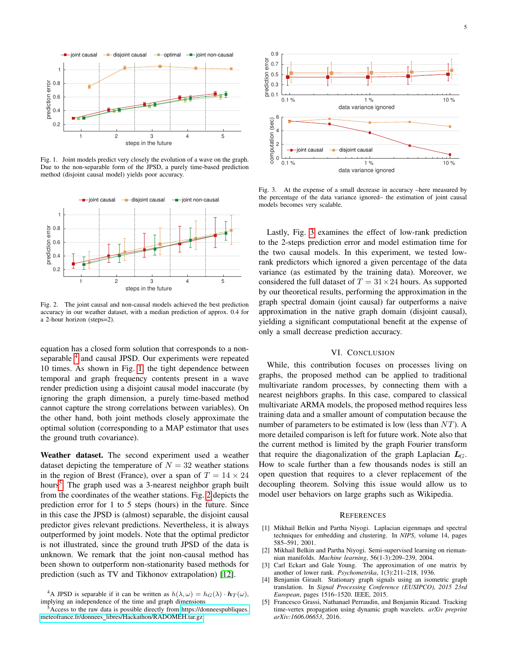

<span id="page-4-6"></span>Fig. 1. Joint models predict very closely the evolution of a wave on the graph. Due to the non-separable form of the JPSD, a purely time-based prediction method (disjoint causal model) yields poor accuracy.



<span id="page-4-8"></span>Fig. 2. The joint causal and non-causal models achieved the best prediction accuracy in our weather dataset, with a median prediction of approx. 0.4 for a 2-hour horizon (steps=2).

equation has a closed form solution that corresponds to a non-separable <sup>[4](#page-4-5)</sup> and causal JPSD. Our experiments were repeated 10 times. As shown in Fig. [1,](#page-4-6) the tight dependence between temporal and graph frequency contents present in a wave render prediction using a disjoint causal model inaccurate (by ignoring the graph dimension, a purely time-based method cannot capture the strong correlations between variables). On the other hand, both joint methods closely approximate the optimal solution (corresponding to a MAP estimator that uses the ground truth covariance).

Weather dataset. The second experiment used a weather dataset depicting the temperature of  $N = 32$  weather stations in the region of Brest (France), over a span of  $T = 14 \times 24$ hours<sup>[5](#page-4-7)</sup>. The graph used was a 3-nearest neighbor graph built from the coordinates of the weather stations. Fig. [2](#page-4-8) depicts the prediction error for 1 to 5 steps (hours) in the future. Since in this case the JPSD is (almost) separable, the disjoint causal predictor gives relevant predictions. Nevertheless, it is always outperformed by joint models. Note that the optimal predictor is not illustrated, since the ground truth JPSD of the data is unknown. We remark that the joint non-causal method has been shown to outperform non-stationarity based methods for prediction (such as TV and Tikhonov extrapolation) [\[12\]](#page-5-2).



<span id="page-4-9"></span>Fig. 3. At the expense of a small decrease in accuracy –here measured by the percentage of the data variance ignored– the estimation of joint causal models becomes very scalable.

Lastly, Fig. [3](#page-4-9) examines the effect of low-rank prediction to the 2-steps prediction error and model estimation time for the two causal models. In this experiment, we tested lowrank predictors which ignored a given percentage of the data variance (as estimated by the training data). Moreover, we considered the full dataset of  $T = 31 \times 24$  hours. As supported by our theoretical results, performing the approximation in the graph spectral domain (joint causal) far outperforms a naive approximation in the native graph domain (disjoint causal), yielding a significant computational benefit at the expense of only a small decrease prediction accuracy.

# VI. CONCLUSION

While, this contribution focuses on processes living on graphs, the proposed method can be applied to traditional multivariate random processes, by connecting them with a nearest neighbors graphs. In this case, compared to classical multivariate ARMA models, the proposed method requires less training data and a smaller amount of computation because the number of parameters to be estimated is low (less than  $NT$ ). A more detailed comparison is left for future work. Note also that the current method is limited by the graph Fourier transform that require the diagonalization of the graph Laplacian  $L_G$ . How to scale further than a few thousands nodes is still an open question that requires to a clever replacement of the decoupling theorem. Solving this issue would allow us to model user behaviors on large graphs such as Wikipedia.

# **REFERENCES**

- <span id="page-4-0"></span>[1] Mikhail Belkin and Partha Niyogi. Laplacian eigenmaps and spectral techniques for embedding and clustering. In *NIPS*, volume 14, pages 585–591, 2001.
- <span id="page-4-1"></span>[2] Mikhail Belkin and Partha Niyogi. Semi-supervised learning on riemannian manifolds. *Machine learning*, 56(1-3):209–239, 2004.
- <span id="page-4-3"></span>[3] Carl Eckart and Gale Young. The approximation of one matrix by another of lower rank. *Psychometrika*, 1(3):211–218, 1936.
- <span id="page-4-2"></span>[4] Benjamin Girault. Stationary graph signals using an isometric graph translation. In *Signal Processing Conference (EUSIPCO), 2015 23rd European*, pages 1516–1520. IEEE, 2015.
- <span id="page-4-4"></span>[5] Francesco Grassi, Nathanael Perraudin, and Benjamin Ricaud. Tracking time-vertex propagation using dynamic graph wavelets. *arXiv preprint arXiv:1606.06653*, 2016.

<span id="page-4-5"></span><sup>&</sup>lt;sup>4</sup>A JPSD is separable if it can be written as  $h(\lambda, \omega) = h_G(\lambda) \cdot h_T(\omega)$ , implying an independence of the time and graph dimensions

<span id="page-4-7"></span> $5$ Access to the raw data is possible directly from [https://donneespubliques.](https://donneespubliques.meteofrance.fr/donnees_libres/Hackathon/RADOMEH.tar.gz) meteofrance.fr/donnees [libres/Hackathon/RADOMEH.tar.gz](https://donneespubliques.meteofrance.fr/donnees_libres/Hackathon/RADOMEH.tar.gz)